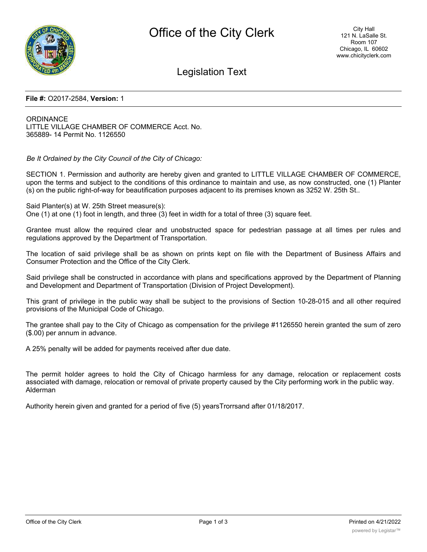

## Legislation Text

#### **File #:** O2017-2584, **Version:** 1

**ORDINANCE** LITTLE VILLAGE CHAMBER OF COMMERCE Acct. No. 365889- 14 Permit No. 1126550

*Be It Ordained by the City Council of the City of Chicago:*

SECTION 1. Permission and authority are hereby given and granted to LITTLE VILLAGE CHAMBER OF COMMERCE, upon the terms and subject to the conditions of this ordinance to maintain and use, as now constructed, one (1) Planter (s) on the public right-of-way for beautification purposes adjacent to its premises known as 3252 W. 25th St..

Said Planter(s) at W. 25th Street measure(s):

One (1) at one (1) foot in length, and three (3) feet in width for a total of three (3) square feet.

Grantee must allow the required clear and unobstructed space for pedestrian passage at all times per rules and regulations approved by the Department of Transportation.

The location of said privilege shall be as shown on prints kept on file with the Department of Business Affairs and Consumer Protection and the Office of the City Clerk.

Said privilege shall be constructed in accordance with plans and specifications approved by the Department of Planning and Development and Department of Transportation (Division of Project Development).

This grant of privilege in the public way shall be subject to the provisions of Section 10-28-015 and all other required provisions of the Municipal Code of Chicago.

The grantee shall pay to the City of Chicago as compensation for the privilege #1126550 herein granted the sum of zero (\$.00) per annum in advance.

A 25% penalty will be added for payments received after due date.

The permit holder agrees to hold the City of Chicago harmless for any damage, relocation or replacement costs associated with damage, relocation or removal of private property caused by the City performing work in the public way. Alderman

Authority herein given and granted for a period of five (5) yearsTrorrsand after 01/18/2017.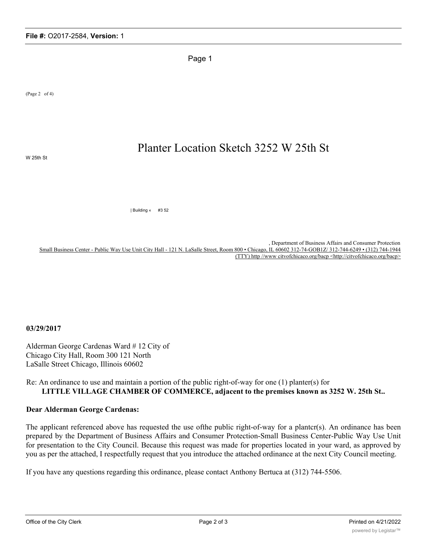Page 1

(Page 2 of 4)

# Planter Location Sketch 3252 W 25th St

W 25th St

| Building « #3 52

, Department of Business Affairs and Consumer Protection Small Business Center - Public Way Use Unit City Hall - 121 N. LaSalle Street, Room 800 • Chicago, IL 60602 312-74-GOB1Z/ 312-744-6249 • (312) 744-1944 (TTY) http //www citvofchicaco.org/bacp <http://citvofchicaco.org/bacp>

#### **03/29/2017**

Alderman George Cardenas Ward # 12 City of Chicago City Hall, Room 300 121 North LaSalle Street Chicago, Illinois 60602

### Re: An ordinance to use and maintain a portion of the public right-of-way for one (1) planter(s) for **LITTLE VILLAGE CHAMBER OF COMMERCE, adjacent to the premises known as 3252 W. 25th St..**

#### **Dear Alderman George Cardenas:**

The applicant referenced above has requested the use of the public right-of-way for a planter(s). An ordinance has been prepared by the Department of Business Affairs and Consumer Protection-Small Business Center-Public Way Use Unit for presentation to the City Council. Because this request was made for properties located in your ward, as approved by you as per the attached, I respectfully request that you introduce the attached ordinance at the next City Council meeting.

If you have any questions regarding this ordinance, please contact Anthony Bertuca at (312) 744-5506.